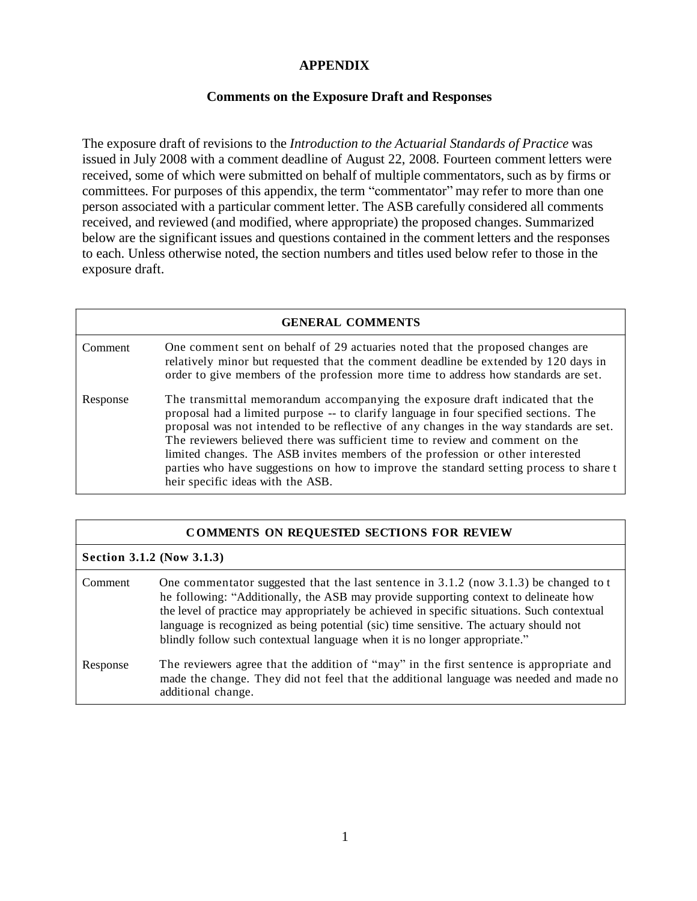## **APPENDIX**

## **Comments on the Exposure Draft and Responses**

The exposure draft of revisions to the *Introduction to the Actuarial Standards of Practice* was issued in July 2008 with a comment deadline of August 22, 2008. Fourteen comment letters were received, some of which were submitted on behalf of multiple commentators, such as by firms or committees. For purposes of this appendix, the term "commentator" may refer to more than one person associated with a particular comment letter. The ASB carefully considered all comments received, and reviewed (and modified, where appropriate) the proposed changes. Summarized below are the significant issues and questions contained in the comment letters and the responses to each. Unless otherwise noted, the section numbers and titles used below refer to those in the exposure draft.

| <b>GENERAL COMMENTS</b> |                                                                                                                                                                                                                                                                                                                                                                                                                                                                                                                                                                     |  |
|-------------------------|---------------------------------------------------------------------------------------------------------------------------------------------------------------------------------------------------------------------------------------------------------------------------------------------------------------------------------------------------------------------------------------------------------------------------------------------------------------------------------------------------------------------------------------------------------------------|--|
| Comment                 | One comment sent on behalf of 29 actuaries noted that the proposed changes are<br>relatively minor but requested that the comment deadline be extended by 120 days in<br>order to give members of the profession more time to address how standards are set.                                                                                                                                                                                                                                                                                                        |  |
| Response                | The transmittal memorandum accompanying the exposure draft indicated that the<br>proposal had a limited purpose -- to clarify language in four specified sections. The<br>proposal was not intended to be reflective of any changes in the way standards are set.<br>The reviewers believed there was sufficient time to review and comment on the<br>limited changes. The ASB invites members of the profession or other interested<br>parties who have suggestions on how to improve the standard setting process to share t<br>heir specific ideas with the ASB. |  |

| <b>COMMENTS ON REQUESTED SECTIONS FOR REVIEW</b> |                                                                                                                                                                                                                                                                                                                                                                                                                                                        |  |
|--------------------------------------------------|--------------------------------------------------------------------------------------------------------------------------------------------------------------------------------------------------------------------------------------------------------------------------------------------------------------------------------------------------------------------------------------------------------------------------------------------------------|--|
| Section 3.1.2 (Now 3.1.3)                        |                                                                                                                                                                                                                                                                                                                                                                                                                                                        |  |
| Comment                                          | One commentator suggested that the last sentence in 3.1.2 (now 3.1.3) be changed to $t$<br>he following: "Additionally, the ASB may provide supporting context to delineate how<br>the level of practice may appropriately be achieved in specific situations. Such contextual<br>language is recognized as being potential (sic) time sensitive. The actuary should not<br>blindly follow such contextual language when it is no longer appropriate." |  |
| Response                                         | The reviewers agree that the addition of "may" in the first sentence is appropriate and<br>made the change. They did not feel that the additional language was needed and made no<br>additional change.                                                                                                                                                                                                                                                |  |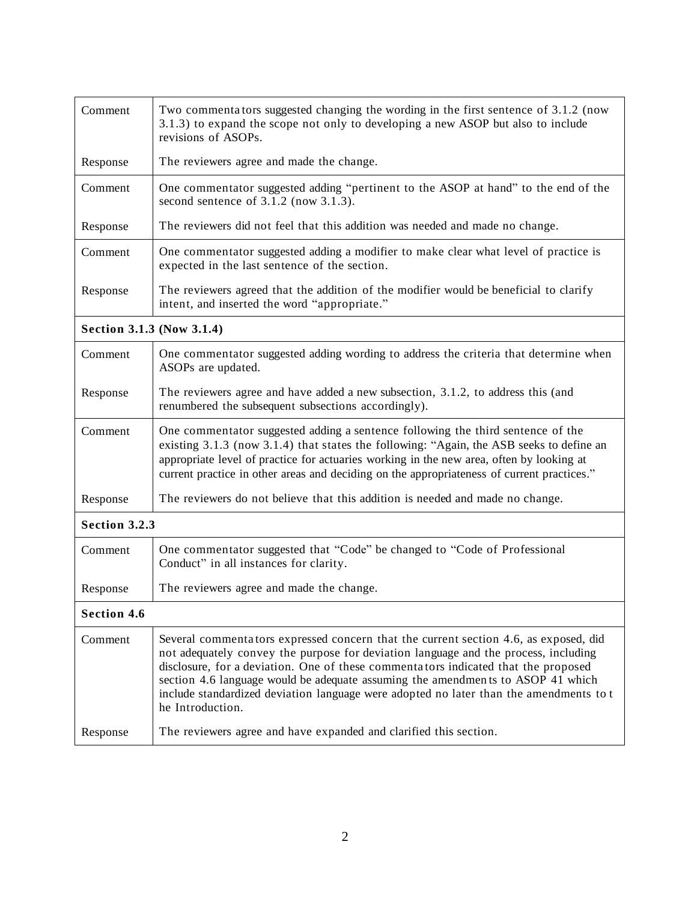| Comment                   | Two commentators suggested changing the wording in the first sentence of 3.1.2 (now<br>3.1.3) to expand the scope not only to developing a new ASOP but also to include<br>revisions of ASOPs.                                                                                                                                                                                                                                                                     |  |
|---------------------------|--------------------------------------------------------------------------------------------------------------------------------------------------------------------------------------------------------------------------------------------------------------------------------------------------------------------------------------------------------------------------------------------------------------------------------------------------------------------|--|
| Response                  | The reviewers agree and made the change.                                                                                                                                                                                                                                                                                                                                                                                                                           |  |
| Comment                   | One commentator suggested adding "pertinent to the ASOP at hand" to the end of the<br>second sentence of $3.1.2$ (now $3.1.3$ ).                                                                                                                                                                                                                                                                                                                                   |  |
| Response                  | The reviewers did not feel that this addition was needed and made no change.                                                                                                                                                                                                                                                                                                                                                                                       |  |
| Comment                   | One commentator suggested adding a modifier to make clear what level of practice is<br>expected in the last sentence of the section.                                                                                                                                                                                                                                                                                                                               |  |
| Response                  | The reviewers agreed that the addition of the modifier would be beneficial to clarify<br>intent, and inserted the word "appropriate."                                                                                                                                                                                                                                                                                                                              |  |
| Section 3.1.3 (Now 3.1.4) |                                                                                                                                                                                                                                                                                                                                                                                                                                                                    |  |
| Comment                   | One commentator suggested adding wording to address the criteria that determine when<br>ASOPs are updated.                                                                                                                                                                                                                                                                                                                                                         |  |
| Response                  | The reviewers agree and have added a new subsection, 3.1.2, to address this (and<br>renumbered the subsequent subsections accordingly).                                                                                                                                                                                                                                                                                                                            |  |
| Comment                   | One commentator suggested adding a sentence following the third sentence of the<br>existing 3.1.3 (now 3.1.4) that states the following: "Again, the ASB seeks to define an<br>appropriate level of practice for actuaries working in the new area, often by looking at<br>current practice in other areas and deciding on the appropriateness of current practices."                                                                                              |  |
| Response                  | The reviewers do not believe that this addition is needed and made no change.                                                                                                                                                                                                                                                                                                                                                                                      |  |
| Section 3.2.3             |                                                                                                                                                                                                                                                                                                                                                                                                                                                                    |  |
| Comment                   | One commentator suggested that "Code" be changed to "Code of Professional<br>Conduct" in all instances for clarity.                                                                                                                                                                                                                                                                                                                                                |  |
| Response                  | The reviewers agree and made the change.                                                                                                                                                                                                                                                                                                                                                                                                                           |  |
| <b>Section 4.6</b>        |                                                                                                                                                                                                                                                                                                                                                                                                                                                                    |  |
| Comment                   | Several commentators expressed concern that the current section 4.6, as exposed, did<br>not adequately convey the purpose for deviation language and the process, including<br>disclosure, for a deviation. One of these commentators indicated that the proposed<br>section 4.6 language would be adequate assuming the amendments to ASOP 41 which<br>include standardized deviation language were adopted no later than the amendments to t<br>he Introduction. |  |
| Response                  | The reviewers agree and have expanded and clarified this section.                                                                                                                                                                                                                                                                                                                                                                                                  |  |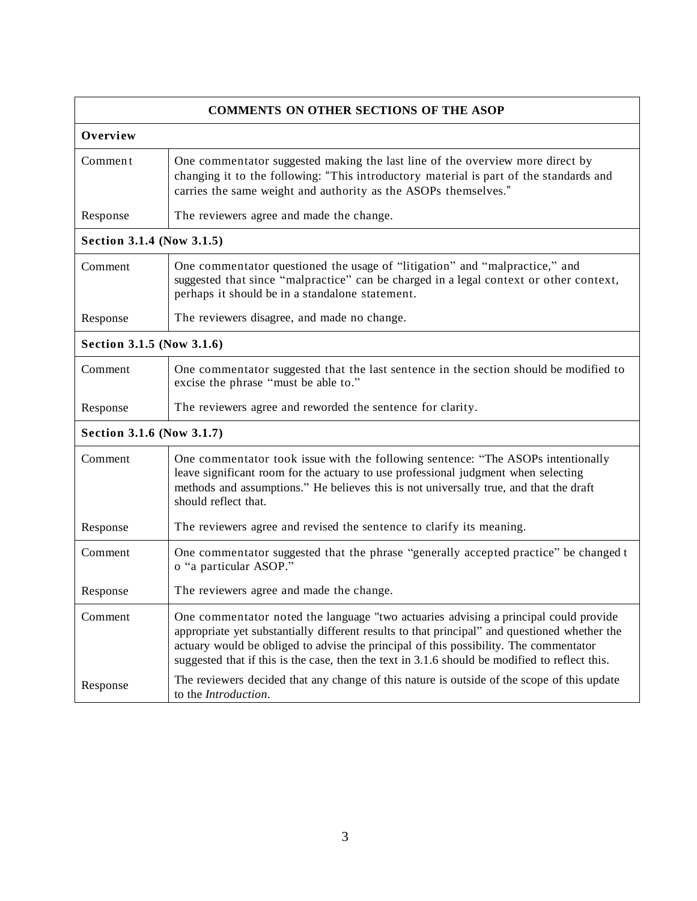| <b>COMMENTS ON OTHER SECTIONS OF THE ASOP</b> |                                                                                                                                                                                                                                                                                                                                                                                  |  |
|-----------------------------------------------|----------------------------------------------------------------------------------------------------------------------------------------------------------------------------------------------------------------------------------------------------------------------------------------------------------------------------------------------------------------------------------|--|
| Overview                                      |                                                                                                                                                                                                                                                                                                                                                                                  |  |
| Comment                                       | One commentator suggested making the last line of the overview more direct by<br>changing it to the following: "This introductory material is part of the standards and<br>carries the same weight and authority as the ASOPs themselves."                                                                                                                                       |  |
| Response                                      | The reviewers agree and made the change.                                                                                                                                                                                                                                                                                                                                         |  |
| Section 3.1.4 (Now 3.1.5)                     |                                                                                                                                                                                                                                                                                                                                                                                  |  |
| Comment                                       | One commentator questioned the usage of "litigation" and "malpractice," and<br>suggested that since "malpractice" can be charged in a legal context or other context,<br>perhaps it should be in a standalone statement.                                                                                                                                                         |  |
| Response                                      | The reviewers disagree, and made no change.                                                                                                                                                                                                                                                                                                                                      |  |
| Section 3.1.5 (Now 3.1.6)                     |                                                                                                                                                                                                                                                                                                                                                                                  |  |
| Comment                                       | One commentator suggested that the last sentence in the section should be modified to<br>excise the phrase "must be able to."                                                                                                                                                                                                                                                    |  |
| Response                                      | The reviewers agree and reworded the sentence for clarity.                                                                                                                                                                                                                                                                                                                       |  |
| Section 3.1.6 (Now 3.1.7)                     |                                                                                                                                                                                                                                                                                                                                                                                  |  |
| Comment                                       | One commentator took issue with the following sentence: "The ASOPs intentionally<br>leave significant room for the actuary to use professional judgment when selecting<br>methods and assumptions." He believes this is not universally true, and that the draft<br>should reflect that.                                                                                         |  |
| Response                                      | The reviewers agree and revised the sentence to clarify its meaning.                                                                                                                                                                                                                                                                                                             |  |
| Comment                                       | One commentator suggested that the phrase "generally accepted practice" be changed t<br>o "a particular ASOP."                                                                                                                                                                                                                                                                   |  |
| Response                                      | The reviewers agree and made the change.                                                                                                                                                                                                                                                                                                                                         |  |
| Comment                                       | One commentator noted the language "two actuaries advising a principal could provide<br>appropriate yet substantially different results to that principal" and questioned whether the<br>actuary would be obliged to advise the principal of this possibility. The commentator<br>suggested that if this is the case, then the text in 3.1.6 should be modified to reflect this. |  |
| Response                                      | The reviewers decided that any change of this nature is outside of the scope of this update<br>to the Introduction.                                                                                                                                                                                                                                                              |  |